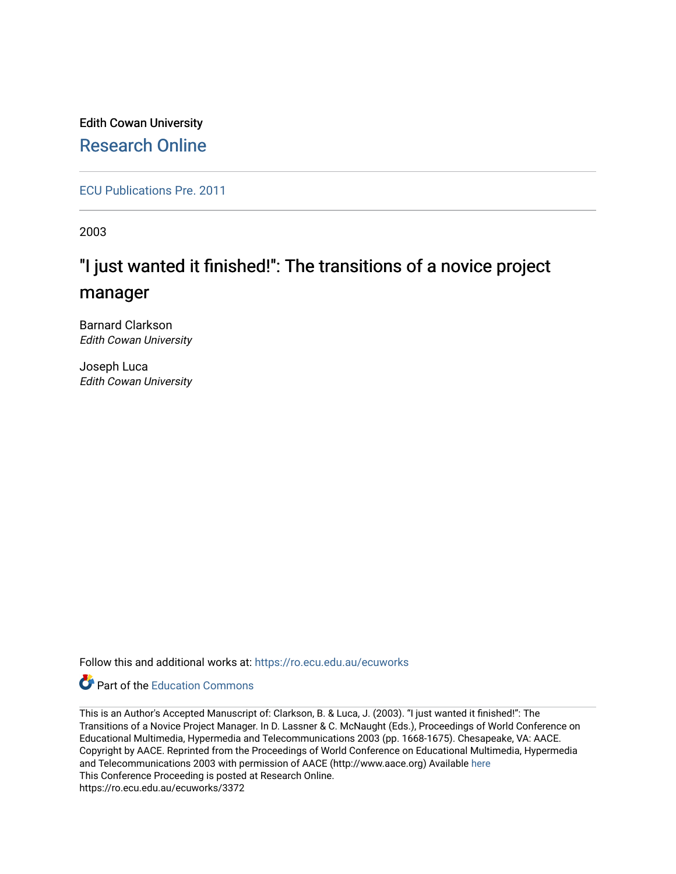Edith Cowan University [Research Online](https://ro.ecu.edu.au/) 

[ECU Publications Pre. 2011](https://ro.ecu.edu.au/ecuworks)

2003

# "I just wanted it finished!": The transitions of a novice project manager

Barnard Clarkson Edith Cowan University

Joseph Luca Edith Cowan University

Follow this and additional works at: [https://ro.ecu.edu.au/ecuworks](https://ro.ecu.edu.au/ecuworks?utm_source=ro.ecu.edu.au%2Fecuworks%2F3372&utm_medium=PDF&utm_campaign=PDFCoverPages) 



This is an Author's Accepted Manuscript of: Clarkson, B. & Luca, J. (2003). "I just wanted it finished!": The Transitions of a Novice Project Manager. In D. Lassner & C. McNaught (Eds.), Proceedings of World Conference on Educational Multimedia, Hypermedia and Telecommunications 2003 (pp. 1668-1675). Chesapeake, VA: AACE. Copyright by AACE. Reprinted from the Proceedings of World Conference on Educational Multimedia, Hypermedia and Telecommunications 2003 with permission of AACE (http://www.aace.org) Available [here](http://www.editlib.org/p/14066) This Conference Proceeding is posted at Research Online. https://ro.ecu.edu.au/ecuworks/3372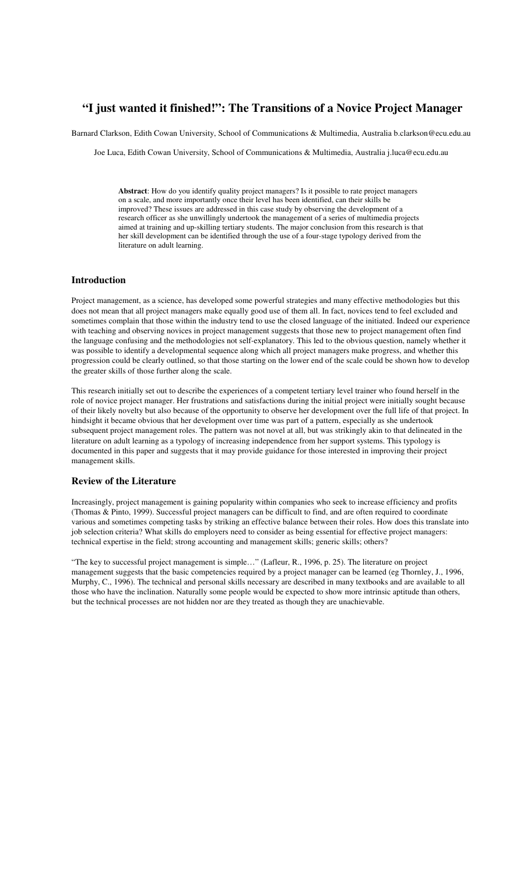## **"I just wanted it finished!": The Transitions of a Novice Project Manager**

Barnard Clarkson, Edith Cowan University, School of Communications & Multimedia, Australia b.clarkson@ecu.edu.au

Joe Luca, Edith Cowan University, School of Communications & Multimedia, Australia j.luca@ecu.edu.au

**Abstract**: How do you identify quality project managers? Is it possible to rate project managers on a scale, and more importantly once their level has been identified, can their skills be improved? These issues are addressed in this case study by observing the development of a research officer as she unwillingly undertook the management of a series of multimedia projects aimed at training and up-skilling tertiary students. The major conclusion from this research is that her skill development can be identified through the use of a four-stage typology derived from the literature on adult learning.

## **Introduction**

Project management, as a science, has developed some powerful strategies and many effective methodologies but this does not mean that all project managers make equally good use of them all. In fact, novices tend to feel excluded and sometimes complain that those within the industry tend to use the closed language of the initiated. Indeed our experience with teaching and observing novices in project management suggests that those new to project management often find the language confusing and the methodologies not self-explanatory. This led to the obvious question, namely whether it was possible to identify a developmental sequence along which all project managers make progress, and whether this progression could be clearly outlined, so that those starting on the lower end of the scale could be shown how to develop the greater skills of those further along the scale.

This research initially set out to describe the experiences of a competent tertiary level trainer who found herself in the role of novice project manager. Her frustrations and satisfactions during the initial project were initially sought because of their likely novelty but also because of the opportunity to observe her development over the full life of that project. In hindsight it became obvious that her development over time was part of a pattern, especially as she undertook subsequent project management roles. The pattern was not novel at all, but was strikingly akin to that delineated in the literature on adult learning as a typology of increasing independence from her support systems. This typology is documented in this paper and suggests that it may provide guidance for those interested in improving their project management skills.

## **Review of the Literature**

Increasingly, project management is gaining popularity within companies who seek to increase efficiency and profits (Thomas & Pinto, 1999). Successful project managers can be difficult to find, and are often required to coordinate various and sometimes competing tasks by striking an effective balance between their roles. How does this translate into job selection criteria? What skills do employers need to consider as being essential for effective project managers: technical expertise in the field; strong accounting and management skills; generic skills; others?

"The key to successful project management is simple…" (Lafleur, R., 1996, p. 25). The literature on project management suggests that the basic competencies required by a project manager can be learned (eg Thornley, J., 1996, Murphy, C., 1996). The technical and personal skills necessary are described in many textbooks and are available to all those who have the inclination. Naturally some people would be expected to show more intrinsic aptitude than others, but the technical processes are not hidden nor are they treated as though they are unachievable.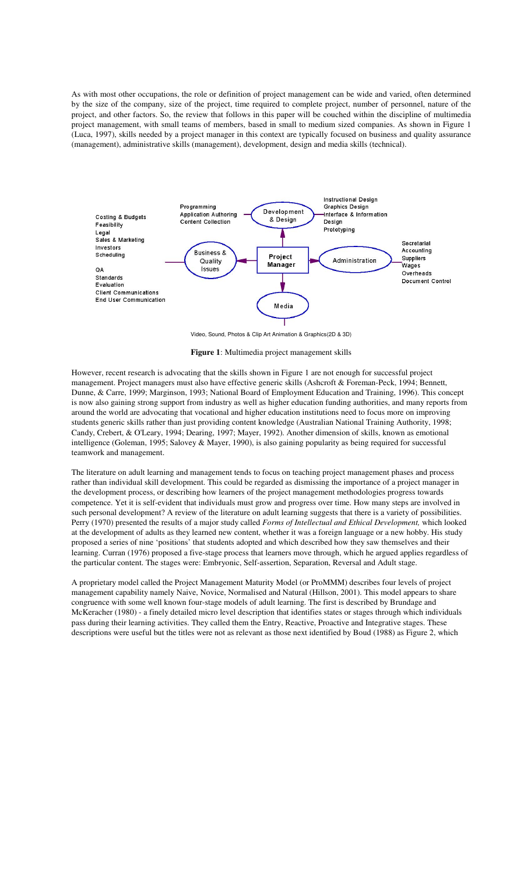As with most other occupations, the role or definition of project management can be wide and varied, often determined by the size of the company, size of the project, time required to complete project, number of personnel, nature of the project, and other factors. So, the review that follows in this paper will be couched within the discipline of multimedia project management, with small teams of members, based in small to medium sized companies. As shown in Figure 1 (Luca, 1997), skills needed by a project manager in this context are typically focused on business and quality assurance (management), administrative skills (management), development, design and media skills (technical).



Video, Sound, Photos & Clip Art Animation & Graphics(2D & 3D)

**Figure 1**: Multimedia project management skills

However, recent research is advocating that the skills shown in Figure 1 are not enough for successful project management. Project managers must also have effective generic skills (Ashcroft & Foreman-Peck, 1994; Bennett, Dunne, & Carre, 1999; Marginson, 1993; National Board of Employment Education and Training, 1996). This concept is now also gaining strong support from industry as well as higher education funding authorities, and many reports from around the world are advocating that vocational and higher education institutions need to focus more on improving students generic skills rather than just providing content knowledge (Australian National Training Authority, 1998; Candy, Crebert, & O'Leary, 1994; Dearing, 1997; Mayer, 1992). Another dimension of skills, known as emotional intelligence (Goleman, 1995; Salovey & Mayer, 1990), is also gaining popularity as being required for successful teamwork and management.

The literature on adult learning and management tends to focus on teaching project management phases and process rather than individual skill development. This could be regarded as dismissing the importance of a project manager in the development process, or describing how learners of the project management methodologies progress towards competence. Yet it is self-evident that individuals must grow and progress over time. How many steps are involved in such personal development? A review of the literature on adult learning suggests that there is a variety of possibilities. Perry (1970) presented the results of a major study called *Forms of Intellectual and Ethical Development,* which looked at the development of adults as they learned new content, whether it was a foreign language or a new hobby. His study proposed a series of nine 'positions' that students adopted and which described how they saw themselves and their learning. Curran (1976) proposed a five-stage process that learners move through, which he argued applies regardless of the particular content. The stages were: Embryonic, Self-assertion, Separation, Reversal and Adult stage.

A proprietary model called the Project Management Maturity Model (or ProMMM) describes four levels of project management capability namely Naive, Novice, Normalised and Natural (Hillson, 2001). This model appears to share congruence with some well known four-stage models of adult learning. The first is described by Brundage and McKeracher (1980) - a finely detailed micro level description that identifies states or stages through which individuals pass during their learning activities. They called them the Entry, Reactive, Proactive and Integrative stages. These descriptions were useful but the titles were not as relevant as those next identified by Boud (1988) as Figure 2, which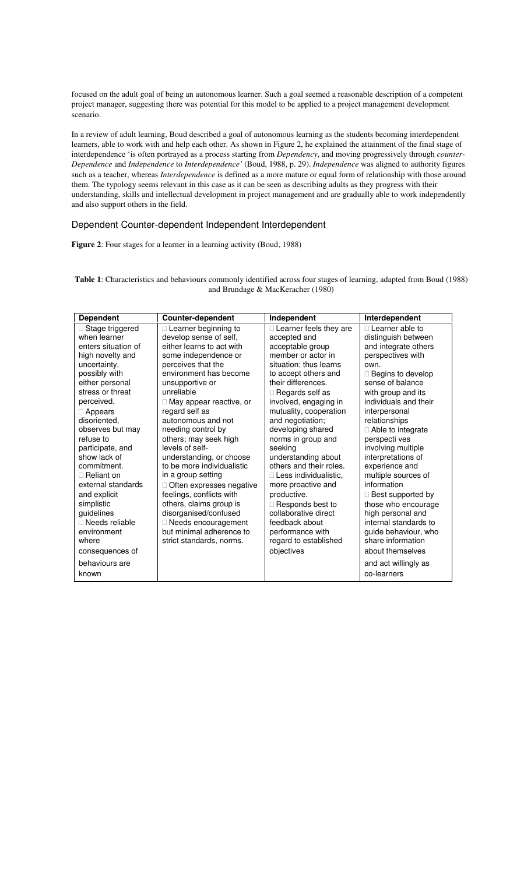focused on the adult goal of being an autonomous learner. Such a goal seemed a reasonable description of a competent project manager, suggesting there was potential for this model to be applied to a project management development scenario.

In a review of adult learning, Boud described a goal of autonomous learning as the students becoming interdependent learners, able to work with and help each other. As shown in Figure 2, he explained the attainment of the final stage of interdependence 'is often portrayed as a process starting from *Dependency*, and moving progressively through *counter-Dependence* and *Independence* to *Interdependence'* (Boud, 1988, p. 29). *Independence* was aligned to authority figures such as a teacher, whereas *Interdependence* is defined as a more mature or equal form of relationship with those around them. The typology seems relevant in this case as it can be seen as describing adults as they progress with their understanding, skills and intellectual development in project management and are gradually able to work independently and also support others in the field.

#### Dependent Counter-dependent Independent Interdependent

Figure 2: Four stages for a learner in a learning activity (Boud, 1988)

**Table 1**: Characteristics and behaviours commonly identified across four stages of learning, adapted from Boud (1988) and Brundage & MacKeracher (1980)

| <b>Dependent</b>    | <b>Counter-dependent</b>   | Independent             | Interdependent        |
|---------------------|----------------------------|-------------------------|-----------------------|
| Stage triggered     | Learner beginning to       | Learner feels they are  | Learner able to       |
| when learner        | develop sense of self,     | accepted and            | distinguish between   |
| enters situation of | either learns to act with  | acceptable group        | and integrate others  |
| high novelty and    | some independence or       | member or actor in      | perspectives with     |
| uncertainty,        | perceives that the         | situation; thus learns  | own.                  |
| possibly with       | environment has become     | to accept others and    | Begins to develop     |
| either personal     | unsupportive or            | their differences.      | sense of balance      |
| stress or threat    | unreliable                 | Regards self as         | with group and its    |
| perceived.          | May appear reactive, or    | involved, engaging in   | individuals and their |
| Appears             | regard self as             | mutuality, cooperation  | interpersonal         |
| disoriented,        | autonomous and not         | and negotiation;        | relationships         |
| observes but may    | needing control by         | developing shared       | Able to integrate     |
| refuse to           | others; may seek high      | norms in group and      | perspecti ves         |
| participate, and    | levels of self-            | seeking                 | involving multiple    |
| show lack of        | understanding, or choose   | understanding about     | interpretations of    |
| commitment.         | to be more individualistic | others and their roles. | experience and        |
| Reliant on          | in a group setting         | Less individualistic.   | multiple sources of   |
| external standards  | Often expresses negative   | more proactive and      | information           |
| and explicit        | feelings, conflicts with   | productive.             | Best supported by     |
| simplistic          | others, claims group is    | Responds best to        | those who encourage   |
| quidelines          | disorganised/confused      | collaborative direct    | high personal and     |
| Needs reliable      | Needs encouragement        | feedback about          | internal standards to |
| environment         | but minimal adherence to   | performance with        | guide behaviour, who  |
| where               | strict standards, norms.   | regard to established   | share information     |
| consequences of     |                            | objectives              | about themselves      |
| behaviours are      |                            |                         | and act willingly as  |
| known               |                            |                         | co-learners           |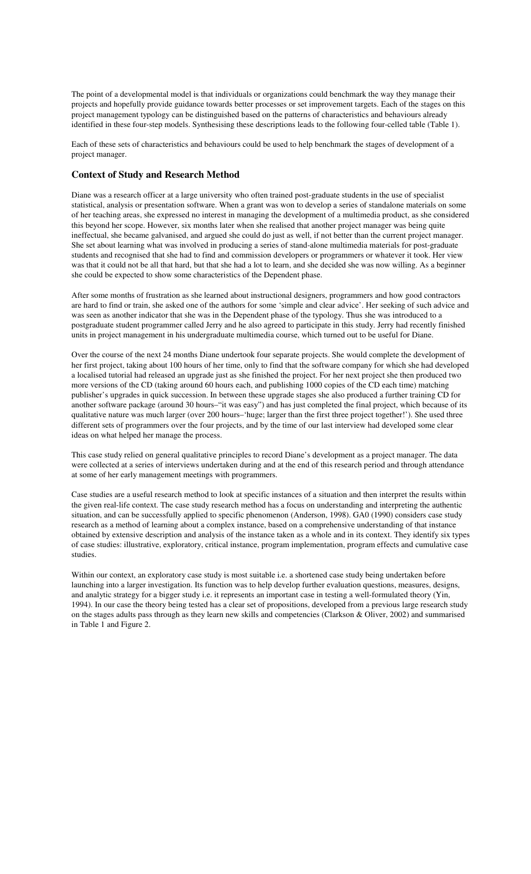The point of a developmental model is that individuals or organizations could benchmark the way they manage their projects and hopefully provide guidance towards better processes or set improvement targets. Each of the stages on this project management typology can be distinguished based on the patterns of characteristics and behaviours already identified in these four-step models. Synthesising these descriptions leads to the following four-celled table (Table 1).

Each of these sets of characteristics and behaviours could be used to help benchmark the stages of development of a project manager.

## **Context of Study and Research Method**

Diane was a research officer at a large university who often trained post-graduate students in the use of specialist statistical, analysis or presentation software. When a grant was won to develop a series of standalone materials on some of her teaching areas, she expressed no interest in managing the development of a multimedia product, as she considered this beyond her scope. However, six months later when she realised that another project manager was being quite ineffectual, she became galvanised, and argued she could do just as well, if not better than the current project manager. She set about learning what was involved in producing a series of stand-alone multimedia materials for post-graduate students and recognised that she had to find and commission developers or programmers or whatever it took. Her view was that it could not be all that hard, but that she had a lot to learn, and she decided she was now willing. As a beginner she could be expected to show some characteristics of the Dependent phase.

After some months of frustration as she learned about instructional designers, programmers and how good contractors are hard to find or train, she asked one of the authors for some 'simple and clear advice'. Her seeking of such advice and was seen as another indicator that she was in the Dependent phase of the typology. Thus she was introduced to a postgraduate student programmer called Jerry and he also agreed to participate in this study. Jerry had recently finished units in project management in his undergraduate multimedia course, which turned out to be useful for Diane.

Over the course of the next 24 months Diane undertook four separate projects. She would complete the development of her first project, taking about 100 hours of her time, only to find that the software company for which she had developed a localised tutorial had released an upgrade just as she finished the project. For her next project she then produced two more versions of the CD (taking around 60 hours each, and publishing 1000 copies of the CD each time) matching publisher's upgrades in quick succession. In between these upgrade stages she also produced a further training CD for another software package (around 30 hours–"it was easy") and has just completed the final project, which because of its qualitative nature was much larger (over 200 hours–'huge; larger than the first three project together!'). She used three different sets of programmers over the four projects, and by the time of our last interview had developed some clear ideas on what helped her manage the process.

This case study relied on general qualitative principles to record Diane's development as a project manager. The data were collected at a series of interviews undertaken during and at the end of this research period and through attendance at some of her early management meetings with programmers.

Case studies are a useful research method to look at specific instances of a situation and then interpret the results within the given real-life context. The case study research method has a focus on understanding and interpreting the authentic situation, and can be successfully applied to specific phenomenon (Anderson, 1998). GA0 (1990) considers case study research as a method of learning about a complex instance, based on a comprehensive understanding of that instance obtained by extensive description and analysis of the instance taken as a whole and in its context. They identify six types of case studies: illustrative, exploratory, critical instance, program implementation, program effects and cumulative case studies.

Within our context, an exploratory case study is most suitable i.e. a shortened case study being undertaken before launching into a larger investigation. Its function was to help develop further evaluation questions, measures, designs, and analytic strategy for a bigger study i.e. it represents an important case in testing a well-formulated theory (Yin, 1994). In our case the theory being tested has a clear set of propositions, developed from a previous large research study on the stages adults pass through as they learn new skills and competencies (Clarkson & Oliver, 2002) and summarised in Table 1 and Figure 2.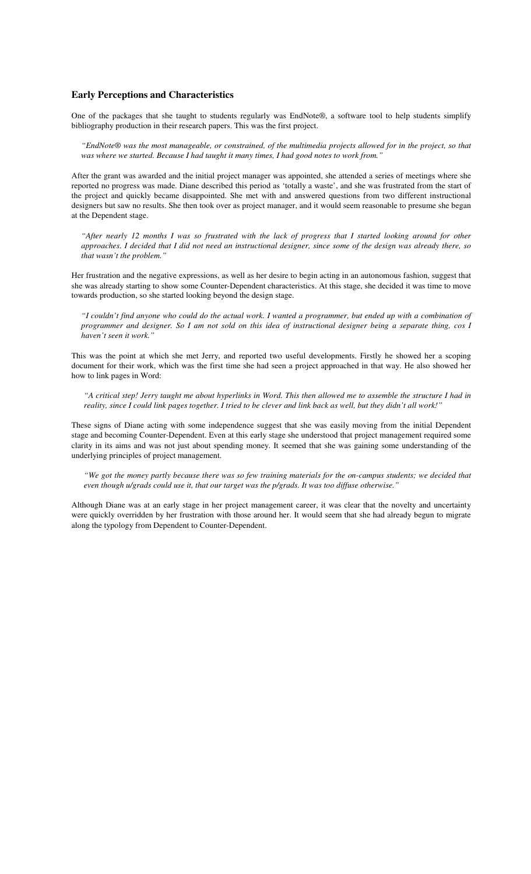#### **Early Perceptions and Characteristics**

One of the packages that she taught to students regularly was EndNote®, a software tool to help students simplify bibliography production in their research papers. This was the first project.

*"EndNote® was the most manageable, or constrained, of the multimedia projects allowed for in the project, so that was where we started. Because I had taught it many times, I had good notes to work from."* 

After the grant was awarded and the initial project manager was appointed, she attended a series of meetings where she reported no progress was made. Diane described this period as 'totally a waste', and she was frustrated from the start of the project and quickly became disappointed. She met with and answered questions from two different instructional designers but saw no results. She then took over as project manager, and it would seem reasonable to presume she began at the Dependent stage.

*"After nearly 12 months I was so frustrated with the lack of progress that I started looking around for other approaches. I decided that I did not need an instructional designer, since some of the design was already there, so that wasn't the problem."* 

Her frustration and the negative expressions, as well as her desire to begin acting in an autonomous fashion, suggest that she was already starting to show some Counter-Dependent characteristics. At this stage, she decided it was time to move towards production, so she started looking beyond the design stage.

*"I couldn't find anyone who could do the actual work. I wanted a programmer, but ended up with a combination of programmer and designer. So I am not sold on this idea of instructional designer being a separate thing, cos I haven't seen it work."* 

This was the point at which she met Jerry, and reported two useful developments. Firstly he showed her a scoping document for their work, which was the first time she had seen a project approached in that way. He also showed her how to link pages in Word:

*"A critical step! Jerry taught me about hyperlinks in Word. This then allowed me to assemble the structure I had in reality, since I could link pages together. I tried to be clever and link back as well, but they didn't all work!"* 

These signs of Diane acting with some independence suggest that she was easily moving from the initial Dependent stage and becoming Counter-Dependent. Even at this early stage she understood that project management required some clarity in its aims and was not just about spending money. It seemed that she was gaining some understanding of the underlying principles of project management.

*"We got the money partly because there was so few training materials for the on-campus students; we decided that even though u/grads could use it, that our target was the p/grads. It was too diffuse otherwise."* 

Although Diane was at an early stage in her project management career, it was clear that the novelty and uncertainty were quickly overridden by her frustration with those around her. It would seem that she had already begun to migrate along the typology from Dependent to Counter-Dependent.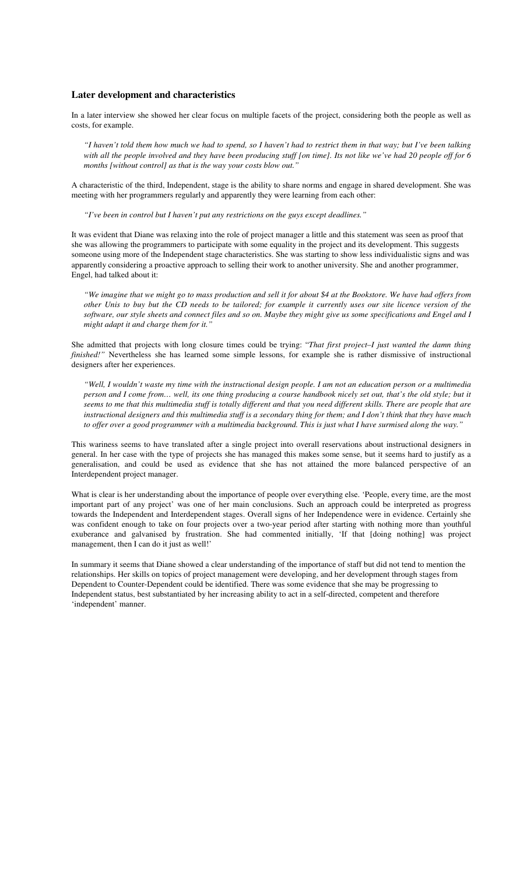#### **Later development and characteristics**

In a later interview she showed her clear focus on multiple facets of the project, considering both the people as well as costs, for example.

*"I haven't told them how much we had to spend, so I haven't had to restrict them in that way; but I've been talking*  with all the people involved and they have been producing stuff [on time]. Its not like we've had 20 people off for 6 *months [without control] as that is the way your costs blow out."* 

A characteristic of the third, Independent, stage is the ability to share norms and engage in shared development. She was meeting with her programmers regularly and apparently they were learning from each other:

*"I've been in control but I haven't put any restrictions on the guys except deadlines."* 

It was evident that Diane was relaxing into the role of project manager a little and this statement was seen as proof that she was allowing the programmers to participate with some equality in the project and its development. This suggests someone using more of the Independent stage characteristics. She was starting to show less individualistic signs and was apparently considering a proactive approach to selling their work to another university. She and another programmer, Engel, had talked about it:

*"We imagine that we might go to mass production and sell it for about \$4 at the Bookstore. We have had offers from other Unis to buy but the CD needs to be tailored; for example it currently uses our site licence version of the software, our style sheets and connect files and so on. Maybe they might give us some specifications and Engel and I might adapt it and charge them for it."* 

She admitted that projects with long closure times could be trying: "*That first project–I just wanted the damn thing finished!"* Nevertheless she has learned some simple lessons, for example she is rather dismissive of instructional designers after her experiences.

*"Well, I wouldn't waste my time with the instructional design people. I am not an education person or a multimedia person and I come from… well, its one thing producing a course handbook nicely set out, that's the old style; but it seems to me that this multimedia stuff is totally different and that you need different skills. There are people that are instructional designers and this multimedia stuff is a secondary thing for them; and I don't think that they have much to offer over a good programmer with a multimedia background. This is just what I have surmised along the way."* 

This wariness seems to have translated after a single project into overall reservations about instructional designers in general. In her case with the type of projects she has managed this makes some sense, but it seems hard to justify as a generalisation, and could be used as evidence that she has not attained the more balanced perspective of an Interdependent project manager.

What is clear is her understanding about the importance of people over everything else. 'People, every time, are the most important part of any project' was one of her main conclusions. Such an approach could be interpreted as progress towards the Independent and Interdependent stages. Overall signs of her Independence were in evidence. Certainly she was confident enough to take on four projects over a two-year period after starting with nothing more than youthful exuberance and galvanised by frustration. She had commented initially, 'If that [doing nothing] was project management, then I can do it just as well!'

In summary it seems that Diane showed a clear understanding of the importance of staff but did not tend to mention the relationships. Her skills on topics of project management were developing, and her development through stages from Dependent to Counter-Dependent could be identified. There was some evidence that she may be progressing to Independent status, best substantiated by her increasing ability to act in a self-directed, competent and therefore 'independent' manner.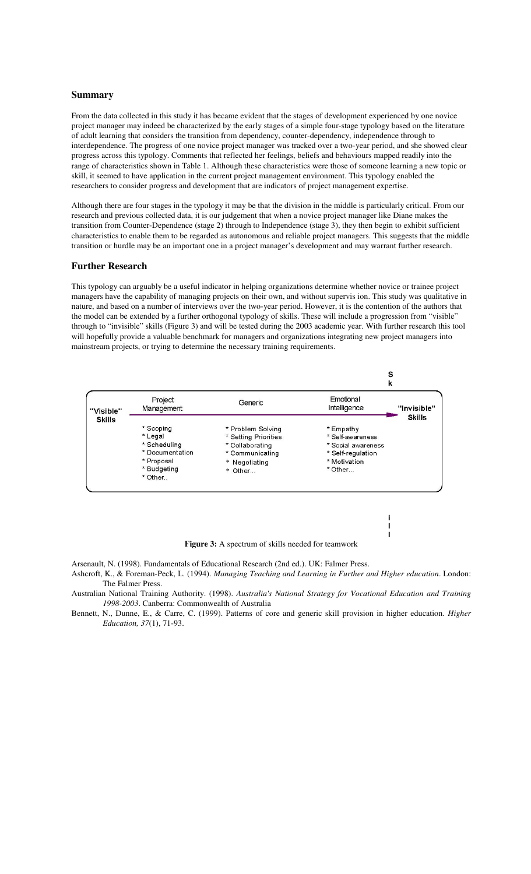#### **Summary**

From the data collected in this study it has became evident that the stages of development experienced by one novice project manager may indeed be characterized by the early stages of a simple four-stage typology based on the literature of adult learning that considers the transition from dependency, counter-dependency, independence through to interdependence. The progress of one novice project manager was tracked over a two-year period, and she showed clear progress across this typology. Comments that reflected her feelings, beliefs and behaviours mapped readily into the range of characteristics shown in Table 1. Although these characteristics were those of someone learning a new topic or skill, it seemed to have application in the current project management environment. This typology enabled the researchers to consider progress and development that are indicators of project management expertise.

Although there are four stages in the typology it may be that the division in the middle is particularly critical. From our research and previous collected data, it is our judgement that when a novice project manager like Diane makes the transition from Counter-Dependence (stage 2) through to Independence (stage 3), they then begin to exhibit sufficient characteristics to enable them to be regarded as autonomous and reliable project managers. This suggests that the middle transition or hurdle may be an important one in a project manager's development and may warrant further research.

#### **Further Research**

This typology can arguably be a useful indicator in helping organizations determine whether novice or trainee project managers have the capability of managing projects on their own, and without supervis ion. This study was qualitative in nature, and based on a number of interviews over the two-year period. However, it is the contention of the authors that the model can be extended by a further orthogonal typology of skills. These will include a progression from "visible" through to "invisible" skills (Figure 3) and will be tested during the 2003 academic year. With further research this tool will hopefully provide a valuable benchmark for managers and organizations integrating new project managers into mainstream projects, or trying to determine the necessary training requirements.



Figure 3: A spectrum of skills needed for teamwork

**i l l**

Arsenault, N. (1998). Fundamentals of Educational Research (2nd ed.). UK: Falmer Press.

- Ashcroft, K., & Foreman-Peck, L. (1994). *Managing Teaching and Learning in Further and Higher education*. London: The Falmer Press.
- Australian National Training Authority. (1998). *Australia's National Strategy for Vocational Education and Training 1998-2003*. Canberra: Commonwealth of Australia
- Bennett, N., Dunne, E., & Carre, C. (1999). Patterns of core and generic skill provision in higher education. *Higher Education, 37*(1), 71-93.